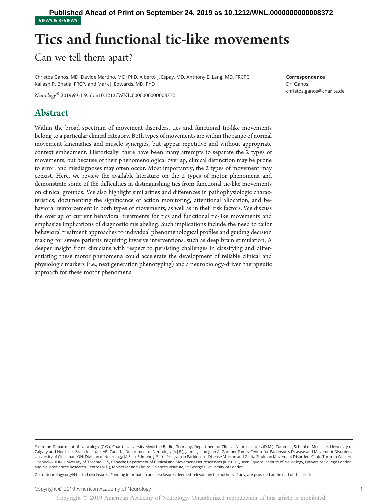VIEWS & REVIEWS **Published Ahead of Print on September 24, 2019 as 10.1212/WNL.0000000000008372**

## Tics and functional tic-like movements

Can we tell them apart?

Christos Ganos, MD, Davide Martino, MD, PhD, Alberto J. Espay, MD, Anthony E. Lang, MD, FRCPC, Kailash P. Bhatia, FRCP, and Mark J. Edwards, MD, PhD

Neurology® 2019;93:1-9. doi[:10.1212/WNL.0000000000008372](http://dx.doi.org/10.1212/WNL.0000000000008372)

## Abstract

Within the broad spectrum of movement disorders, tics and functional tic-like movements belong to a particular clinical category. Both types of movements are within the range of normal movement kinematics and muscle synergies, but appear repetitive and without appropriate context embedment. Historically, there have been many attempts to separate the 2 types of movements, but because of their phenomenological overlap, clinical distinction may be prone to error, and misdiagnoses may often occur. Most importantly, the 2 types of movement may coexist. Here, we review the available literature on the 2 types of motor phenomena and demonstrate some of the difficulties in distinguishing tics from functional tic-like movements on clinical grounds. We also highlight similarities and differences in pathophysiologic characteristics, documenting the significance of action monitoring, attentional allocation, and behavioral reinforcement in both types of movements, as well as in their risk factors. We discuss the overlap of current behavioral treatments for tics and functional tic-like movements and emphasize implications of diagnostic mislabeling. Such implications include the need to tailor behavioral treatment approaches to individual phenomenological profiles and guiding decision making for severe patients requiring invasive interventions, such as deep brain stimulation. A deeper insight from clinicians with respect to persisting challenges in classifying and differentiating these motor phenomena could accelerate the development of reliable clinical and physiologic markers (i.e., next generation phenotyping) and a neurobiology-driven therapeutic approach for these motor phenomena.

Go to [Neurology.org/N](https://n.neurology.org/lookup/doi/10.1212/WNL.0000000000008372) for full disclosures. Funding information and disclosures deemed relevant by the authors, if any, are provided at the end of the article.

Correspondence

Dr. Ganos [christos.ganos@charite.de](mailto:christos.ganos@charite.de)

From the Department of Neurology (C.G.), Charité University Medicine Berlin, Germany; Department of Clinical Neurosciences (D.M.), Cumming School of Medicine, University of Calgary and Hotchkiss Brain Institute, AB, Canada; Department of Neurology (A.J.E.), James J. and Joan A. Gardner Family Center for Parkinson's Disease and Movement Disorders, University of Cincinnati, OH; Division of Neurology (A.E.L.), Edmond J. Safra Program in Parkinson's Disease Morton and Gloria Shulman Movement Disorders Clinic, Toronto Western Hospital—UHN, University of Toronto, ON, Canada; Department of Clinical and Movement Neurosciences (K.P.B.), Queen Square Institute of Neurology, University College London; and Neurosciences Research Centre (M.E.), Molecular and Clinical Sciences Institute, St George's University of London.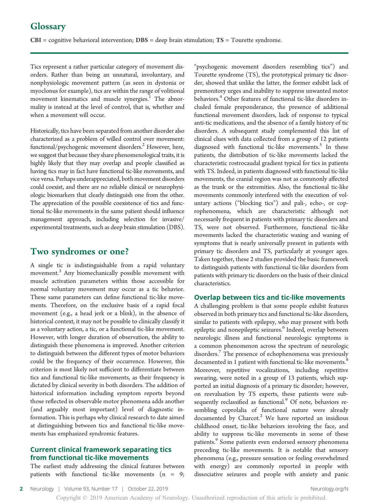$CBI =$  cognitive behavioral intervention;  $DBS =$  deep brain stimulation;  $TS =$  Tourette syndrome.

Tics represent a rather particular category of movement disorders. Rather than being an unnatural, involuntary, and nonphysiologic movement pattern (as seen in dystonia or myoclonus for example), tics are within the range of volitional movement kinematics and muscle synergies.<sup>1</sup> The abnormality is instead at the level of control, that is, whether and when a movement will occur.

Historically, tics have been separated from another disorder also characterized as a problem of willed control over movement: functional/psychogenic movement disorders.<sup>2</sup> However, here, we suggest that because they share phenomenological traits, it is highly likely that they may overlap and people classified as having tics may in fact have functional tic-like movements, and vice versa. Perhaps underappreciated, both movement disorders could coexist, and there are no reliable clinical or neurophysiologic biomarkers that clearly distinguish one from the other. The appreciation of the possible coexistence of tics and functional tic-like movements in the same patient should influence management approach, including selection for invasive/ experimental treatments, such as deep brain stimulation (DBS).

## Two syndromes or one?

A single tic is indistinguishable from a rapid voluntary movement.<sup>3</sup> Any biomechanically possible movement with muscle activation parameters within those accessible for normal voluntary movement may occur as a tic behavior. These same parameters can define functional tic-like movements. Therefore, on the exclusive basis of a rapid focal movement (e.g., a head jerk or a blink), in the absence of historical context, it may not be possible to clinically classify it as a voluntary action, a tic, or a functional tic-like movement. However, with longer duration of observation, the ability to distinguish these phenomena is improved. Another criterion to distinguish between the different types of motor behaviors could be the frequency of their occurrence. However, this criterion is most likely not sufficient to differentiate between tics and functional tic-like movements, as their frequency is dictated by clinical severity in both disorders. The addition of historical information including symptom reports beyond those reflected in observable motor phenomena adds another (and arguably most important) level of diagnostic information. This is perhaps why clinical research to date aimed at distinguishing between tics and functional tic-like movements has emphasized syndromic features.

## Current clinical framework separating tics from functional tic-like movements

The earliest study addressing the clinical features between patients with functional tic-like movements  $(n = 9;$ 

"psychogenic movement disorders resembling tics") and Tourette syndrome (TS), the prototypical primary tic disorder, showed that unlike the latter, the former exhibit lack of premonitory urges and inability to suppress unwanted motor behaviors.<sup>4</sup> Other features of functional tic-like disorders included female preponderance, the presence of additional functional movement disorders, lack of response to typical anti-tic medications, and the absence of a family history of tic disorders. A subsequent study complemented this list of clinical clues with data collected from a group of 12 patients diagnosed with functional tic-like movements. $5$  In these patients, the distribution of tic-like movements lacked the characteristic rostrocaudal gradient typical for tics in patients with TS. Indeed, in patients diagnosed with functional tic-like movements, the cranial region was not as commonly affected as the trunk or the extremities. Also, the functional tic-like movements commonly interfered with the execution of voluntary actions ("blocking tics") and pali-, echo-, or coprophenomena, which are characteristic although not necessarily frequent in patients with primary tic disorders and TS, were not observed. Furthermore, functional tic-like movements lacked the characteristic waxing and waning of symptoms that is nearly universally present in patients with primary tic disorders and TS, particularly at younger ages. Taken together, these 2 studies provided the basic framework to distinguish patients with functional tic-like disorders from patients with primary tic disorders on the basis of their clinical characteristics.

### Overlap between tics and tic-like movements

A challenging problem is that some people exhibit features observed in both primary tics and functional tic-like disorders, similar to patients with epilepsy, who may present with both epileptic and nonepileptic seizures.<sup>6</sup> Indeed, overlap between neurologic illness and functional neurologic symptoms is a common phenomenon across the spectrum of neurologic disorders.<sup>7</sup> The presence of echophenomena was previously documented in 1 patient with functional tic-like movements.<sup>8</sup> Moreover, repetitive vocalizations, including repetitive swearing, were noted in a group of 13 patients, which supported an initial diagnosis of a primary tic disorder; however, on reevaluation by TS experts, these patients were subsequently reclassified as functional.<sup>9</sup> Of note, behaviors resembling coprolalia of functional nature were already documented by Charcot. $2$  We have reported an insidious childhood onset, tic-like behaviors involving the face, and ability to suppress tic-like movements in some of these patients.<sup>9</sup> Some patients even endorsed sensory phenomena preceding tic-like movements. It is notable that sensory phenomena (e.g., pressure sensation or feeling overwhelmed with energy) are commonly reported in people with dissociative seizures and people with anxiety and panic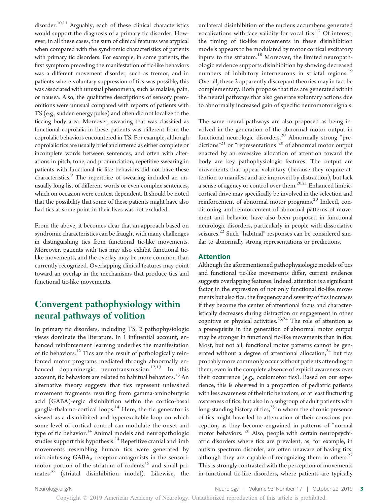disorder.<sup>10,11</sup> Arguably, each of these clinical characteristics would support the diagnosis of a primary tic disorder. However, in all these cases, the sum of clinical features was atypical when compared with the syndromic characteristics of patients with primary tic disorders. For example, in some patients, the first symptom preceding the manifestation of tic-like behaviors was a different movement disorder, such as tremor, and in patients where voluntary suppression of tics was possible, this was associated with unusual phenomena, such as malaise, pain, or nausea. Also, the qualitative descriptions of sensory premonitions were unusual compared with reports of patients with TS (e.g., sudden energy pulse) and often did not localize to the ticcing body area. Moreover, swearing that was classified as functional coprolalia in these patients was different from the coprolalic behaviors encountered in TS. For example, although coprolalic tics are usually brief and uttered as either complete or incomplete words between sentences, and often with alterations in pitch, tone, and pronunciation, repetitive swearing in patients with functional tic-like behaviors did not have these characteristics.<sup>9</sup> The repertoire of swearing included an unusually long list of different words or even complex sentences, which on occasion were context dependent. It should be noted that the possibility that some of these patients might have also had tics at some point in their lives was not excluded.

From the above, it becomes clear that an approach based on syndromic characteristics can be fraught with many challenges in distinguishing tics from functional tic-like movements. Moreover, patients with tics may also exhibit functional ticlike movements, and the overlay may be more common than currently recognized. Overlapping clinical features may point toward an overlap in the mechanisms that produce tics and functional tic-like movements.

## Convergent pathophysiology within neural pathways of volition

In primary tic disorders, including TS, 2 pathophysiologic views dominate the literature. In 1 influential account, enhanced reinforcement learning underlies the manifestation of tic behaviors.<sup>12</sup> Tics are the result of pathologically reinforced motor programs mediated through abnormally enhanced dopaminergic neurotransmission.<sup>12,13</sup> In this account, tic behaviors are related to habitual behaviors.<sup>13</sup> An alternative theory suggests that tics represent unleashed movement fragments resulting from gamma-aminobutyric acid (GABA)-ergic disinhibition within the cortico-basal ganglia-thalamo-cortical loops.<sup>14</sup> Here, the tic generator is viewed as a disinhibited and hyperexcitable loop on which some level of cortical control can modulate the onset and type of tic behavior.<sup>14</sup> Animal models and neuropathologic studies support this hypothesis.<sup>14</sup> Repetitive cranial and limb movements resembling human tics were generated by microinfusing GABAA receptor antagonists in the sensorimotor portion of the striatum of rodents<sup>15</sup> and small primates<sup>16</sup> (striatal disinhibition model). Likewise, the

unilateral disinhibition of the nucleus accumbens generated vocalizations with face validity for vocal tics. $17$  Of interest, the timing of tic-like movements in these disinhibition models appears to be modulated by motor cortical excitatory inputs to the striatum.<sup>18</sup> Moreover, the limited neuropathologic evidence supports disinhibition by showing decreased numbers of inhibitory interneurons in striatal regions.<sup>19</sup> Overall, these 2 apparently discrepant theories may in fact be complementary. Both propose that tics are generated within the neural pathways that also generate voluntary actions due to abnormally increased gain of specific neuromotor signals.

The same neural pathways are also proposed as being involved in the generation of the abnormal motor output in functional neurologic disorders.<sup>20</sup> Abnormally strong "predictions"<sup>21</sup> or "representations"<sup>20</sup> of abnormal motor output enacted by an excessive allocation of attention toward the body are key pathophysiologic features. The output are movements that appear voluntary (because they require attention to manifest and are improved by distraction), but lack a sense of agency or control over them.<sup>20,21</sup> Enhanced limbiccortical drive may specifically be involved in the selection and reinforcement of abnormal motor programs.<sup>20</sup> Indeed, conditioning and reinforcement of abnormal patterns of movement and behavior have also been proposed in functional neurologic disorders, particularly in people with dissociative seizures.<sup>22</sup> Such "habitual" responses can be considered similar to abnormally strong representations or predictions.

## Attention

Although the aforementioned pathophysiologic models of tics and functional tic-like movements differ, current evidence suggests overlapping features. Indeed, attention is a significant factor in the expression of not only functional tic-like movements but also tics: the frequency and severity of tics increases if they become the center of attentional focus and characteristically decreases during distraction or engagement in other cognitive or physical activities.<sup>23,24</sup> The role of attention as a prerequisite in the generation of abnormal motor output may be stronger in functional tic-like movements than in tics. Most, but not all, functional motor patterns cannot be generated without a degree of attentional allocation,  $24$  but tics probably more commonly occur without patients attending to them, even in the complete absence of explicit awareness over their occurrence (e.g., oculomotor tics). Based on our experience, this is observed in a proportion of pediatric patients with less awareness of their tic behaviors, or at least fluctuating awareness of tics, but also in a subgroup of adult patients with long-standing history of tics, $25$  in whom the chronic presence of tics might have led to attenuation of their conscious perception, as they become engrained in patterns of "normal motor behaviors." <sup>26</sup> Also, people with certain neuropsychiatric disorders where tics are prevalent, as, for example, in autism spectrum disorder, are often unaware of having tics, although they are capable of recognizing them in others.<sup>27</sup> This is strongly contrasted with the perception of movements in functional tic-like disorders, where patients are typically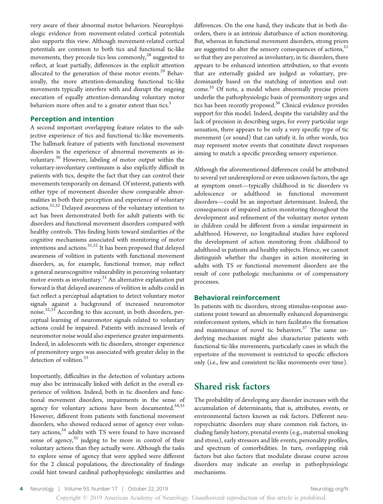very aware of their abnormal motor behaviors. Neurophysiologic evidence from movement-related cortical potentials also supports this view. Although movement-related cortical potentials are common to both tics and functional tic-like movements, they precede tics less commonly, $28$  suggested to reflect, at least partially, differences in the explicit attention allocated to the generation of these motor events.<sup>29</sup> Behaviorally, the more attention-demanding functional tic-like movements typically interfere with and disrupt the ongoing execution of equally attention-demanding voluntary motor behaviors more often and to a greater extent than tics.<sup>5</sup>

## Perception and intention

A second important overlapping feature relates to the subjective experience of tics and functional tic-like movements. The hallmark feature of patients with functional movement disorders is the experience of abnormal movements as involuntary.<sup>30</sup> However, labeling of motor output within the voluntary-involuntary continuum is also explicitly difficult in patients with tics, despite the fact that they can control their movements temporarily on demand. Of interest, patients with either type of movement disorder show comparable abnormalities in both their perception and experience of voluntary actions.<sup>31,32</sup> Delayed awareness of the voluntary intention to act has been demonstrated both for adult patients with tic disorders and functional movement disorders compared with healthy controls. This finding hints toward similarities of the cognitive mechanisms associated with monitoring of motor intentions and actions.<sup>31,32</sup> It has been proposed that delayed awareness of volition in patients with functional movement disorders, as, for example, functional tremor, may reflect a general neurocognitive vulnerability in perceiving voluntary motor events as involuntary. $31$  An alternative explanation put forward is that delayed awareness of volition in adults could in fact reflect a perceptual adaptation to detect voluntary motor signals against a background of increased neuromotor noise.<sup>32,33</sup> According to this account, in both disorders, perceptual learning of neuromotor signals related to voluntary actions could be impaired. Patients with increased levels of neuromotor noise would also experience greater impairments. Indeed, in adolescents with tic disorders, stronger experience of premonitory urges was associated with greater delay in the detection of volition.<sup>33</sup>

Importantly, difficulties in the detection of voluntary actions may also be intrinsically linked with deficit in the overall experience of volition. Indeed, both in tic disorders and functional movement disorders, impairments in the sense of agency for voluntary actions have been documented.<sup>34,35</sup> However, different from patients with functional movement disorders, who showed reduced sense of agency over voluntary actions, $34$  adults with TS were found to have increased sense of agency, $35$  judging to be more in control of their voluntary actions than they actually were. Although the tasks to explore sense of agency that were applied were different for the 2 clinical populations, the directionality of findings could hint toward cardinal pathophysiologic similarities and

differences. On the one hand, they indicate that in both disorders, there is an intrinsic disturbance of action monitoring. But, whereas in functional movement disorders, strong priors are suggested to alter the sensory consequences of actions, $2<sup>1</sup>$ so that they are perceived as involuntary, in tic disorders, there appears to be enhanced intention attribution, so that events that are externally guided are judged as voluntary, predominantly based on the matching of intention and outcome.<sup>35</sup> Of note, a model where abnormally precise priors underlie the pathophysiologic basis of premonitory urges and tics has been recently proposed.36 Clinical evidence provides support for this model. Indeed, despite the variability and the lack of precision in describing urges, for every particular urge sensation, there appears to be only a very specific type of tic movement (or sound) that can satisfy it. In other words, tics may represent motor events that constitute direct responses aiming to match a specific preceding sensory experience.

Although the aforementioned differences could be attributed to several yet underexplored or even unknown factors, the age at symptom onset—typically childhood in tic disorders vs adolescence or adulthood in functional movement disorders—could be an important determinant. Indeed, the consequences of impaired action monitoring throughout the development and refinement of the voluntary motor system in children could be different from a similar impairment in adulthood. However, no longitudinal studies have explored the development of action monitoring from childhood to adulthood in patients and healthy subjects. Hence, we cannot distinguish whether the changes in action monitoring in adults with TS or functional movement disorders are the result of core pathologic mechanisms or of compensatory processes.

#### Behavioral reinforcement

In patients with tic disorders, strong stimulus-response associations point toward an abnormally enhanced dopaminergic reinforcement system, which in turn facilitates the formation and maintenance of novel tic behaviors.<sup>37</sup> The same underlying mechanism might also characterize patients with functional tic-like movements, particularly cases in which the repertoire of the movement is restricted to specific effectors only (i.e., few and consistent tic-like movements over time).

## Shared risk factors

The probability of developing any disorder increases with the accumulation of determinants, that is, attributes, events, or environmental factors known as risk factors. Different neuropsychiatric disorders may share common risk factors, including family history, prenatal events (e.g., maternal smoking and stress), early stressors and life events, personality profiles, and spectrum of comorbidities. In turn, overlapping risk factors but also factors that modulate disease course across disorders may indicate an overlap in pathophysiologic mechanisms.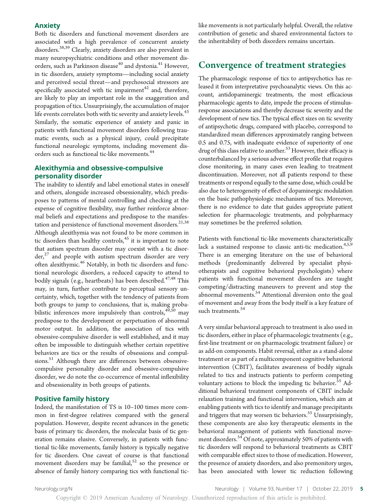#### Anxiety

Both tic disorders and functional movement disorders are associated with a high prevalence of concurrent anxiety disorders.38,39 Clearly, anxiety disorders are also prevalent in many neuropsychiatric conditions and other movement disorders, such as Parkinson disease<sup>40</sup> and dystonia.<sup>41</sup> However, in tic disorders, anxiety symptoms—including social anxiety and perceived social threat—and psychosocial stressors are specifically associated with tic impairment $42$  and, therefore, are likely to play an important role in the exaggeration and propagation of tics. Unsurprisingly, the accumulation of major life events correlates both with tic severity and anxiety levels.<sup>43</sup> Similarly, the somatic experience of anxiety and panic in patients with functional movement disorders following traumatic events, such as a physical injury, could precipitate functional neurologic symptoms, including movement disorders such as functional tic-like movements.44

## Alexithymia and obsessive-compulsive personality disorder

The inability to identify and label emotional states in oneself and others, alongside increased obsessionality, which predisposes to patterns of mental controlling and checking at the expense of cognitive flexibility, may further reinforce abnormal beliefs and expectations and predispose to the manifestation and persistence of functional movement disorders.<sup>21,38</sup> Although alexithymia was not found to be more common in tic disorders than healthy controls,  $45$  it is important to note that autism spectrum disorder may coexist with a tic disorder,<sup>27</sup> and people with autism spectrum disorder are very often alexithymic.<sup>46</sup> Notably, in both tic disorders and functional neurologic disorders, a reduced capacity to attend to bodily signals (e.g., heartbeats) has been described.<sup>47,48</sup> This may, in turn, further contribute to perceptual sensory uncertainty, which, together with the tendency of patients from both groups to jump to conclusions, that is, making probabilistic inferences more impulsively than controls, $49,50$  may predispose to the development or perpetuation of abnormal motor output. In addition, the association of tics with obsessive-compulsive disorder is well established, and it may often be impossible to distinguish whether certain repetitive behaviors are tics or the results of obsessions and compulsions.<sup>51</sup> Although there are differences between obsessivecompulsive personality disorder and obsessive-compulsive disorder, we do note the co-occurrence of mental inflexibility and obsessionality in both groups of patients.

#### Positive family history

Indeed, the manifestation of TS is 10–100 times more common in first-degree relatives compared with the general population. However, despite recent advances in the genetic basis of primary tic disorders, the molecular basis of tic generation remains elusive. Conversely, in patients with functional tic-like movements, family history is typically negative for tic disorders. One caveat of course is that functional movement disorders may be familial, $52$  so the presence or absence of family history comparing tics with functional ticlike movements is not particularly helpful. Overall, the relative contribution of genetic and shared environmental factors to the inheritability of both disorders remains uncertain.

## Convergence of treatment strategies

The pharmacologic response of tics to antipsychotics has released it from interpretative psychoanalytic views. On this account, antidopaminergic treatments, the most efficacious pharmacologic agents to date, impede the process of stimulusresponse associations and thereby decrease tic severity and the development of new tics. The typical effect sizes on tic severity of antipsychotic drugs, compared with placebo, correspond to standardized mean differences approximately ranging between 0.5 and 0.75, with inadequate evidence of superiority of one drug of this class relative to another.<sup>53</sup> However, their efficacy is counterbalanced by a serious adverse effect profile that requires close monitoring, in many cases even leading to treatment discontinuation. Moreover, not all patients respond to these treatments or respond equally to the same dose, which could be also due to heterogeneity of effect of dopaminergic modulation on the basic pathophysiologic mechanisms of tics. Moreover, there is no evidence to date that guides appropriate patient selection for pharmacologic treatments, and polypharmacy may sometimes be the preferred solution.

Patients with functional tic-like movements characteristically lack a sustained response to classic anti-tic medication.<sup>4,5,9</sup> There is an emerging literature on the use of behavioral methods (predominantly delivered by specialist physiotherapists and cognitive behavioral psychologists) where patients with functional movement disorders are taught competing/distracting maneuvers to prevent and stop the abnormal movements.<sup>54</sup> Attentional diversion onto the goal of movement and away from the body itself is a key feature of such treatments.<sup>54</sup>

A very similar behavioral approach to treatment is also used in tic disorders, either in place of pharmacologic treatments (e.g., first-line treatment or on pharmacologic treatment failure) or as add-on components. Habit reversal, either as a stand-alone treatment or as part of a multicomponent cognitive behavioral intervention (CBIT), facilitates awareness of bodily signals related to tics and instructs patients to perform competing voluntary actions to block the impeding tic behavior.<sup>55</sup> Additional behavioral treatment components of CBIT include relaxation training and functional intervention, which aim at enabling patients with tics to identify and manage precipitants and triggers that may worsen tic behaviors.<sup>55</sup> Unsurprisingly, these components are also key therapeutic elements in the behavioral management of patients with functional movement disorders.<sup>54</sup> Of note, approximately 50% of patients with tic disorders will respond to behavioral treatments as CBIT with comparable effect sizes to those of medication. However, the presence of anxiety disorders, and also premonitory urges, has been associated with lower tic reduction following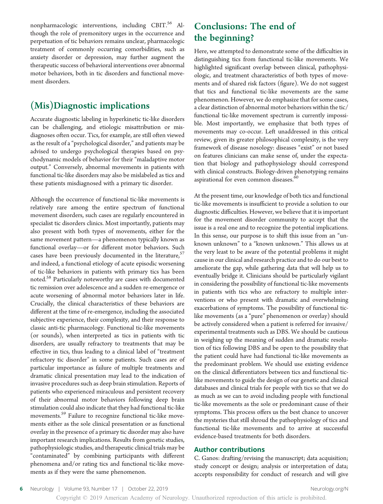nonpharmacologic interventions, including CBIT.<sup>56</sup> Although the role of premonitory urges in the occurrence and perpetuation of tic behaviors remains unclear, pharmacologic treatment of commonly occurring comorbidities, such as anxiety disorder or depression, may further augment the therapeutic success of behavioral interventions over abnormal motor behaviors, both in tic disorders and functional movement disorders.

## (Mis)Diagnostic implications

Accurate diagnostic labeling in hyperkinetic tic-like disorders can be challenging, and etiologic misattribution or misdiagnoses often occur. Tics, for example, are still often viewed as the result of a"psychological disorder,"and patients may be advised to undergo psychological therapies based on psychodynamic models of behavior for their "maladaptive motor output." Conversely, abnormal movements in patients with functional tic-like disorders may also be mislabeled as tics and these patients misdiagnosed with a primary tic disorder.

Although the occurrence of functional tic-like movements is relatively rare among the entire spectrum of functional movement disorders, such cases are regularly encountered in specialist tic disorders clinics. Most importantly, patients may also present with both types of movements, either for the same movement pattern—a phenomenon typically known as functional overlay—or for different motor behaviors. Such cases have been previously documented in the literature,  $57$ and indeed, a functional etiology of acute episodic worsening of tic-like behaviors in patients with primary tics has been noted.<sup>58</sup> Particularly noteworthy are cases with documented tic remission over adolescence and a sudden re-emergence or acute worsening of abnormal motor behaviors later in life. Crucially, the clinical characteristics of these behaviors are different at the time of re-emergence, including the associated subjective experience, their complexity, and their response to classic anti-tic pharmacology. Functional tic-like movements (or sounds), when interpreted as tics in patients with tic disorders, are usually refractory to treatments that may be effective in tics, thus leading to a clinical label of "treatment refractory tic disorder" in some patients. Such cases are of particular importance as failure of multiple treatments and dramatic clinical presentation may lead to the indication of invasive procedures such as deep brain stimulation. Reports of patients who experienced miraculous and persistent recovery of their abnormal motor behaviors following deep brain stimulation could also indicate that they had functional tic-like movements.<sup>59</sup> Failure to recognize functional tic-like movements either as the sole clinical presentation or as functional overlay in the presence of a primary tic disorder may also have important research implications. Results from genetic studies, pathophysiologic studies, and therapeutic clinical trials may be "contaminated" by combining participants with different phenomena and/or rating tics and functional tic-like movements as if they were the same phenomenon.

## Conclusions: The end of the beginning?

Here, we attempted to demonstrate some of the difficulties in distinguishing tics from functional tic-like movements. We highlighted significant overlap between clinical, pathophysiologic, and treatment characteristics of both types of movements and of shared risk factors (figure). We do not suggest that tics and functional tic-like movements are the same phenomenon. However, we do emphasize that for some cases, a clear distinction of abnormal motor behaviors within the tic/ functional tic-like movement spectrum is currently impossible. Most importantly, we emphasize that both types of movements may co-occur. Left unaddressed in this critical review, given its greater philosophical complexity, is the very framework of disease nosology: diseases "exist" or not based on features clinicians can make sense of, under the expectation that biology and pathophysiology should correspond with clinical constructs. Biology-driven phenotyping remains aspirational for even common diseases.<sup>60</sup>

At the present time, our knowledge of both tics and functional tic-like movements is insufficient to provide a solution to our diagnostic difficulties. However, we believe that it is important for the movement disorder community to accept that the issue is a real one and to recognize the potential implications. In this sense, our purpose is to shift this issue from an "unknown unknown" to a "known unknown." This allows us at the very least to be aware of the potential problems it might cause in our clinical and research practice and to do our best to ameliorate the gap, while gathering data that will help us to eventually bridge it. Clinicians should be particularly vigilant in considering the possibility of functional tic-like movements in patients with tics who are refractory to multiple interventions or who present with dramatic and overwhelming exacerbations of symptoms. The possibility of functional ticlike movements (as a "pure" phenomenon or overlay) should be actively considered when a patient is referred for invasive/ experimental treatments such as DBS. We should be cautious in weighing up the meaning of sudden and dramatic resolution of tics following DBS and be open to the possibility that the patient could have had functional tic-like movements as the predominant problem. We should use existing evidence on the clinical differentiators between tics and functional ticlike movements to guide the design of our genetic and clinical databases and clinical trials for people with tics so that we do as much as we can to avoid including people with functional tic-like movements as the sole or predominant cause of their symptoms. This process offers us the best chance to uncover the mysteries that still shroud the pathophysiology of tics and functional tic-like movements and to arrive at successful evidence-based treatments for both disorders.

## Author contributions

C. Ganos: drafting/revising the manuscript; data acquisition; study concept or design; analysis or interpretation of data; accepts responsibility for conduct of research and will give

6 Neurology | Volume 93, Number 17 | October 22, 2019 [Neurology.org/N](http://neurology.org/n)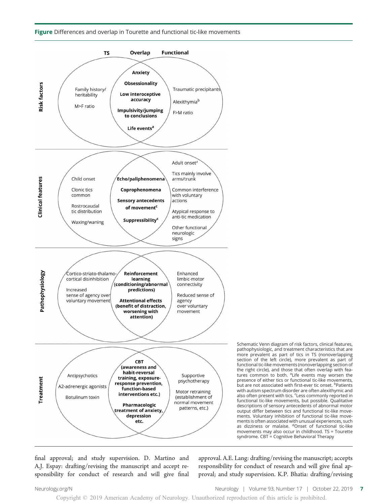#### Figure Differences and overlap in Tourette and functional tic-like movements



final approval; and study supervision. D. Martino and A.J. Espay: drafting/revising the manuscript and accept responsibility for conduct of research and will give final approval. A.E. Lang: drafting/revising the manuscript; accepts responsibility for conduct of research and will give final approval; and study supervision. K.P. Bhatia: drafting/revising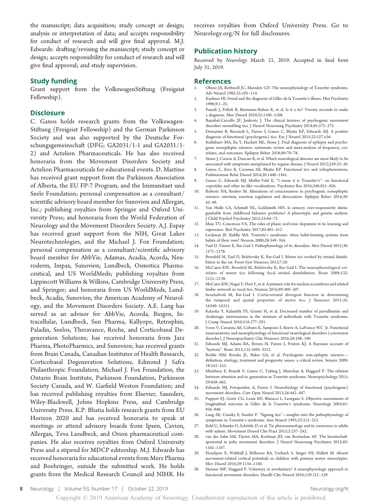the manuscript; data acquisition; study concept or design; analysis or interpretation of data; and accepts responsibility for conduct of research and will give final approval. M.J. Edwards: drafting/revising the manuscript; study concept or design; accepts responsibility for conduct of research and will give final approval; and study supervision.

### Study funding

Grant support from the VolkswagenStiftung (Freigeist Fellowship).

#### **Disclosure**

C. Ganos holds research grants from the Volkswagen-Stiftung (Freigeist Fellowship) and the German Parkinson Society and was also supported by the Deutsche Forschungsgemeinschaft (DFG; GA2031/1-1 and GA2031/1- 2) and Actelion Pharmaceuticals. He has also received honoraria from the Movement Disorders Society and Actelion Pharmaceuticals for educational events. D. Martino has received grant support from the Parkinson Association of Alberta, the EU FP-7 Program, and the Immunitaet und Seele Foundation; personal compensation as a consultant/ scientific advisory board member for Sunovion and Allergan, Inc.; publishing royalties from Springer and Oxford University Press; and honoraria from the World Federation of Neurology and the Movement Disorders Society. A.J. Espay has received grant support from the NIH, Great Lakes Neurotechnologies, and the Michael J. Fox Foundation; personal compensation as a consultant/scientific advisory board member for AbbVie, Adamas, Acadia, Acorda, Neuroderm, Impax, Sunovion, Lundbeck, Osmotica Pharmaceutical, and US WorldMeds; publishing royalties from Lippincott Williams & Wilkins, Cambridge University Press, and Springer; and honoraria from US WorldMeds, Lundbeck, Acadia, Sunovion, the American Academy of Neurology, and the Movement Disorders Society. A.E. Lang has served as an advisor for AbbVie, Acorda, Biogen, Intracellular, Lundbeck, Sun Pharma, Kallyope, Retrophin, Paladin, Seelos, Theravance, Roche, and Corticobasal Degeneration Solutions; has received honoraria from Jazz Pharma, PhotoPharmics, and Sunovion; has received grants from Brain Canada, Canadian Institutes of Health Research, Corticobasal Degeneration Solutions, Edmond J Safra Philanthropic Foundation, Michael J. Fox Foundation, the Ontario Brain Institute, Parkinson Foundation, Parkinson Society Canada, and W. Garfield Weston Foundation; and has received publishing royalties from Elsevier, Saunders, Wiley-Blackwell, Johns Hopkins Press, and Cambridge University Press. K.P. Bhatia holds research grants from EU Horizon 2020 and has received honoraria to speak at meetings or attend advisory boards from Ipsen, Cavion, Allergan, Teva Lundbeck, and Orion pharmaceutical companies. He also receives royalties from Oxford University Press and a stipend for MDCP editorship. M.J. Edwards has received honoraria for educational events from Merz Pharma and Boehringer, outside the submitted work. He holds grants from the Medical Research Council and NIHR. He

receives royalties from Oxford University Press. Go to [Neurology.org/N](https://n.neurology.org/lookup/doi/10.1212/WNL.0000000000008372) for full disclosures.

## Publication history

Received by Neurology March 21, 2019. Accepted in final form July 31, 2019.

#### References

- 1. Obeso JA, Rothwell JC, Marsden CD. The neurophysiology of Tourette syndrome. Adv Neurol 1982;35:105–114.
- 2. Kushner HI. Freud and the diagnosis of Gilles de la Tourette's illness. Hist Psychiatry 1998;9:1–25.
- 3. Paszek J, Pollok B, Biermann-Ruben K, et al. Is it a tic? Twenty seconds to make a diagnosis. Mov Disord 2010;25:1106–1108.
- 4. Baizabal-Carvallo JF, Jankovic J. The clinical features of psychogenic movement disorders resembling tics. J Neurol Neurosurg Psychiatry 2014;85:573–575.
- 5. Demartini B, Ricciardi L, Parees I, Ganos C, Bhatia KP, Edwards MJ. A positive diagnosis of functional (psychogenic) tics. Eur J Neurol 2015;22:527-e36.
- Kutlubaev MA, Xu Y, Hackett ML, Stone J. Dual diagnosis of epilepsy and psychogenic nonepileptic seizures: systematic review and meta-analysis of frequency, correlates, and outcomes. Epilepsy Behav 2018;89:70–78.
- 7. Stone J, Carson A, Duncan R, et al. Which neurological diseases are most likely to be associated with symptoms unexplained by organic disease. J Neurol 2012;259:33–38.
- 8. Ganos C, Erro R, Cavanna AE, Bhatia KP. Functional tics and echophenomena. Parkinsonism Relat Disord 2014;20:1440–1441.
- 9. Ganos C, Edwards MJ, Muller-Vahl K. "I swear it is Tourette's!": on functional coprolalia and other tic-like vocalizations. Psychiatry Res 2016;246:821–826.
- 10. Roberts NA, Reuber M. Alterations of consciousness in psychogenic nonepileptic seizures: emotion, emotion regulation and dissociation. Epilepsy Behav 2014;30: 43–49.
- 11. Van Hulle CA, Schmidt NL, Goldsmith HH. Is sensory over-responsivity distinguishable from childhood behavior problems? A phenotypic and genetic analysis. J Child Psychol Psychiatry 2012;53:64–72.
- 12. Maia TV, Conceicao VA. The roles of phasic and tonic dopamine in tic learning and expression. Biol Psychiatry 2017;82:401–412.
- 13. Leckman JF, Riddle MA. Tourette's syndrome: when habit-forming systems form habits of their own? Neuron 2000;28:349–354.
- 14. Yael D, Vinner E, Bar-Gad I. Pathophysiology of tic disorders. Mov Disord 2015;30: 1171–1178.
- 15. Bronfeld M, Yael D, Belelovsky K, Bar-Gad I. Motor tics evoked by striatal disinhibition in the rat. Front Syst Neurosci 2013;7:50.
- 16. McCairn KW, Bronfeld M, Belelovsky K, Bar-Gad I. The neurophysiological correlates of motor tics following focal striatal disinhibition. Brain 2009;132: 2125–2138.
- 17. McCairn KW, Nagai Y, Hori Y, et al. A primary role for nucleus accumbens and related limbic network in vocal tics. Neuron 2016;89:300–307.
- 18. Israelashvili M, Bar-Gad I. Corticostriatal divergent function in determining the temporal and spatial properties of motor tics. J Neurosci 2015;35: 16340–16351.
- 19. Kataoka Y, Kalanithi PS, Grantz H, et al. Decreased number of parvalbumin and cholinergic interneurons in the striatum of individuals with Tourette syndrome. J Comp Neurol 2010;518:277–291.
- 20. Voon V, Cavanna AE, Coburn K, Sampson S, Reeve A, LaFrance WC Jr. Functional neuroanatomy and neurophysiology of functional neurological disorders (conversion disorder). J Neuropsychiatry Clin Neurosci 2016;28:168–190.
- 21. Edwards MJ, Adams RA, Brown H, Parees I, Friston KJ. A Bayesian account of "hysteria". Brain 2012;135:3495–3512.
- 22. Bodde NM, Brooks JL, Baker GA, et al. Psychogenic non-epileptic seizures definition, etiology, treatment and prognostic issues: a critical review. Seizure 2009; 18:543–553.
- 23. Misirlisoy E, Brandt V, Ganos C, Tubing J, Munchau A, Haggard P. The relation between attention and tic generation in Tourette syndrome. Neuropsychology 2015; 29:658–665.
- 24. Edwards MJ, Fotopoulou A, Parees I. Neurobiology of functional (psychogenic) movement disorders. Curr Opin Neurol 2013;26:442–447.
- 25. Pappert EJ, Goetz CG, Louis ED, Blasucci L, Leurgans S. Objective assessments of longitudinal outcome in Gilles de la Tourette's syndrome. Neurology 2003;61: 936–940.
- 26. Lang AE, Consky E, Sandor P. "Signing tics"—insights into the pathophysiology of symptoms in Tourette's syndrome. Ann Neurol 1993;33:212–215.
- 27. Kahl U, Schunke O, Schöttle D, et al. Tic phenomenology and tic awareness in adults with autism. Movement Disord Clin Pract 2015;2:237–242.
- 28. van der Salm SM, Tijssen MA, Koelman JH, van Rootselaar AF. The bereitschaftspotential in jerky movement disorders. J Neurol Neurosurg Psychiatry 2012;83: 1162–1167.
- 29. Houdayer E, Walthall J, Belluscio BA, Vorbach S, Singer HS, Hallett M. Absent movement-related cortical potentials in children with primary motor stereotypies. Mov Disord 2014;29:1134–1140.
- 30. Stenner MP, Haggard P. Voluntary or involuntary? A neurophysiologic approach to functional movement disorders. Handb Clin Neurol 2016;139:121–129.

8 Neurology | Volume 93, Number 17 | October 22, 2019 [Neurology.org/N](http://neurology.org/n)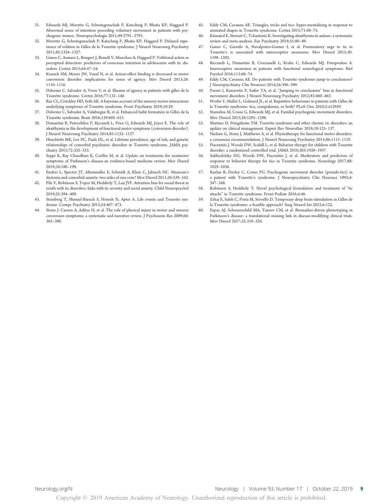- 31. Edwards MJ, Moretto G, Schwingenschuh P, Katschnig P, Bhatia KP, Haggard P. Abnormal sense of intention preceding voluntary movement in patients with psychogenic tremor. Neuropsychologia 2011;49:2791–2793.
- 32. Moretto G, Schwingenschuh P, Katschnig P, Bhatia KP, Haggard P. Delayed experience of volition in Gilles de la Tourette syndrome. J Neurol Neurosurg Psychiatry 2011;82:1324–1327.
- 33. Ganos C, Asmuss L, Bongert J, Brandt V, Munchau A, Haggard P. Volitional action as perceptual detection: predictors of conscious intention in adolescents with tic disorders. Cortex 2015;64:47–54.
- 34. Kranick SM, Moore JW, Yusuf N, et al. Action-effect binding is decreased in motor conversion disorder: implications for sense of agency. Mov Disord 2013;28: 1110–1116.
- 35. Delorme C, Salvador A, Voon V, et al. Illusion of agency in patients with gilles de la Tourette syndrome. Cortex 2016;77:132–140.
- 36. Rae CL, Critchley HD, Seth AK. A bayesian account of the sensory-motor interactions underlying symptoms of Tourette syndrome. Front Psychiatry 2019;10:29.
- 37. Delorme C, Salvador A, Valabregue R, et al. Enhanced habit formation in Gilles de la Tourette syndrome. Brain 2016;139:605–615.
- 38. Demartini B, Petrochilos P, Ricciardi L, Price G, Edwards MJ, Joyce E. The role of alexithymia in the development of functional motor symptoms (conversion disorder). J Neurol Neurosurg Psychiatry 2014;85:1132–1137.
- 39. Hirschtritt ME, Lee PC, Pauls DL, et al. Lifetime prevalence, age of risk, and genetic relationships of comorbid psychiatric disorders in Tourette syndrome. JAMA psychiatry 2015;72:325–333.
- 40. Seppi K, Ray Chaudhuri K, Coelho M, et al. Update on treatments for nonmotor symptoms of Parkinson's disease-an evidence-based medicine review. Mov Disord 2019;34:180–198.
- 41. Enders L, Spector JT, Altenmuller E, Schmidt A, Klein C, Jabusch HC. Musician's dystonia and comorbid anxiety: two sides of one coin? Mov Disord 2011;26:539–542.
- 42. Pile V, Robinson S, Topor M, Hedderly T, Lau JYF. Attention bias for social threat in youth with tic disorders: links with tic severity and social anxiety. Child Neuropsychol 2019;25:394–409.
- 43. Steinberg T, Shmuel-Baruch S, Horesh N, Apter A. Life events and Tourette syndrome. Compr Psychiatry 2013;54:467–473.
- Stone J, Carson A, Aditya H, et al. The role of physical injury in motor and sensory conversion symptoms: a systematic and narrative review. J Psychosom Res 2009;66: 383–390.
- 45. Eddy CM, Cavanna AE. Triangles, tricks and tics: hyper-mentalizing in response to animated shapes in Tourette syndrome. Cortex 2015;71:68–75.
- 46. Kinnaird E, Stewart C, Tchanturia K. Investigating alexithymia in autism: a systematic review and meta-analysis. Eur Psychiatry 2019;55:80–89.
- 47. Ganos C, Garrido A, Navalpotro-Gomez I, et al. Premonitory urge to tic in Tourette's is associated with interoceptive awareness. Mov Disord 2015;30: 1198–1202.
- 48. Ricciardi L, Demartini B, Crucianelli L, Krahe C, Edwards MJ, Fotopoulou A. Interoceptive awareness in patients with functional neurological symptoms. Biol Psychol 2016;113:68–74.
- 49. Eddy CM, Cavanna AE. Do patients with Tourette syndrome jump to conclusions? J Neuropsychiatry Clin Neurosci 2014;26:396–399.
- 50. Parees I, Kassavetis P, Saifee TA, et al. "Jumping to conclusions" bias in functional movement disorders. J Neurol Neurosurg Psychiatry 2012;83:460–463.
- 51. Worbe Y, Mallet L, Golmard JL, et al. Repetitive behaviours in patients with Gilles de la Tourette syndrome: tics, compulsions, or both? PLoS One 2010;5:e12959.
- 52. Stamelou M, Cossu G, Edwards MJ, et al. Familial psychogenic movement disorders. Mov Disord 2013;28:1295–1298.
- 53. Martino D, Pringsheim TM. Tourette syndrome and other chronic tic disorders: an update on clinical management. Expert Rev Neurother 2018;18:125–137.
- 54. Nielsen G, Stone J, Matthews A, et al. Physiotherapy for functional motor disorders: a consensus recommendation. J Neurol Neurosurg Psychiatry 2015;86:1113-1119.
- 55. Piacentini J, Woods DW, Scahill L, et al. Behavior therapy for children with Tourette disorder: a randomized controlled trial. JAMA 2010;303:1929–1937.
- 56. Sukhodolsky DG, Woods DW, Piacentini J, et al. Moderators and predictors of response to behavior therapy for tics in Tourette syndrome. Neurology 2017;88: 1029–1036.
- 57. Kurlan R, Deeley C, Como PG. Psychogenic movement disorder (pseudo-tics) in a patient with Tourette's syndrome. J Neuropsychiatry Clin Neurosci 1992;4: 347–348.
- 58. Robinson S, Hedderly T. Novel psychological formulation and treatment of "tic attacks" in Tourette syndrome. Front Pediatr 2016;4:46.
- 59. Zekaj E, Saleh C, Porta M, Servello D. Temporary deep brain stimulation in Gilles de la Tourette syndrome: a feasible approach? Surg Neurol Int 2015;6:122.
- 60. Espay AJ, Schwarzschild MA, Tanner CM, et al. Biomarker-driven phenotyping in Parkinson's disease: a translational missing link in disease-modifying clinical trials. Mov Disord 2017;32:319–324.